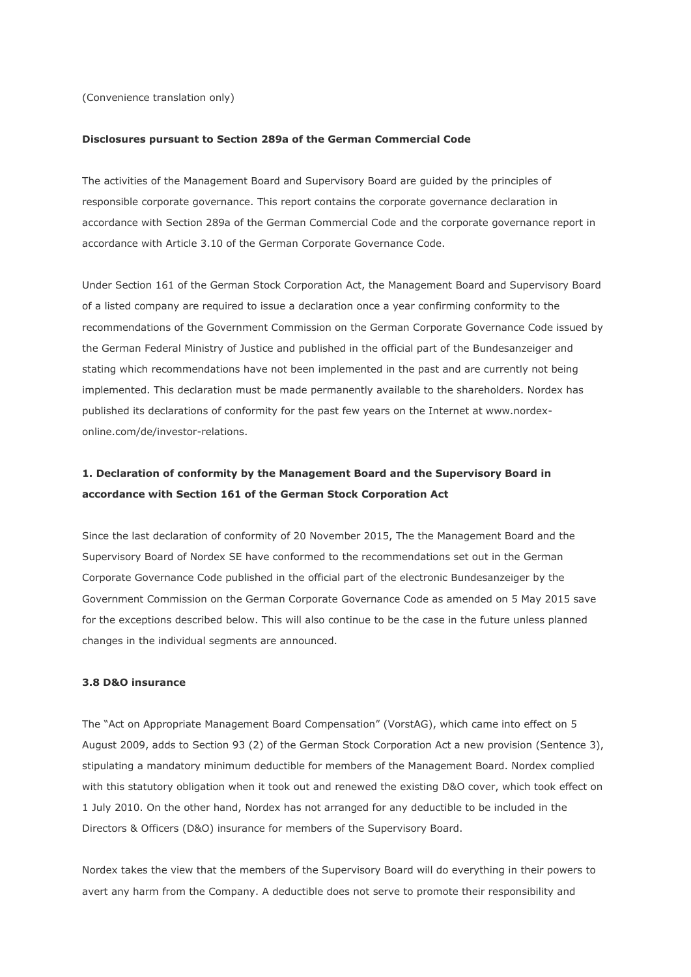(Convenience translation only)

#### **Disclosures pursuant to Section 289a of the German Commercial Code**

The activities of the Management Board and Supervisory Board are guided by the principles of responsible corporate governance. This report contains the corporate governance declaration in accordance with Section 289a of the German Commercial Code and the corporate governance report in accordance with Article 3.10 of the German Corporate Governance Code.

Under Section 161 of the German Stock Corporation Act, the Management Board and Supervisory Board of a listed company are required to issue a declaration once a year confirming conformity to the recommendations of the Government Commission on the German Corporate Governance Code issued by the German Federal Ministry of Justice and published in the official part of the Bundesanzeiger and stating which recommendations have not been implemented in the past and are currently not being implemented. This declaration must be made permanently available to the shareholders. Nordex has published its declarations of conformity for the past few years on the Internet at www.nordexonline.com/de/investor-relations.

# **1. Declaration of conformity by the Management Board and the Supervisory Board in accordance with Section 161 of the German Stock Corporation Act**

Since the last declaration of conformity of 20 November 2015, The the Management Board and the Supervisory Board of Nordex SE have conformed to the recommendations set out in the German Corporate Governance Code published in the official part of the electronic Bundesanzeiger by the Government Commission on the German Corporate Governance Code as amended on 5 May 2015 save for the exceptions described below. This will also continue to be the case in the future unless planned changes in the individual segments are announced.

## **3.8 D&O insurance**

The "Act on Appropriate Management Board Compensation" (VorstAG), which came into effect on 5 August 2009, adds to Section 93 (2) of the German Stock Corporation Act a new provision (Sentence 3), stipulating a mandatory minimum deductible for members of the Management Board. Nordex complied with this statutory obligation when it took out and renewed the existing D&O cover, which took effect on 1 July 2010. On the other hand, Nordex has not arranged for any deductible to be included in the Directors & Officers (D&O) insurance for members of the Supervisory Board.

Nordex takes the view that the members of the Supervisory Board will do everything in their powers to avert any harm from the Company. A deductible does not serve to promote their responsibility and